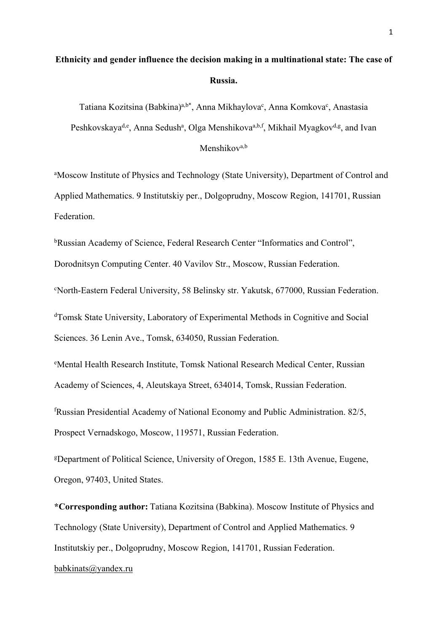# **Ethnicity and gender influence the decision making in a multinational state: The case of Russia.**

Tatiana Kozitsina (Babkina)<sup>a,b\*</sup>, Anna Mikhaylova<sup>c</sup>, Anna Komkova<sup>c</sup>, Anastasia Peshkovskaya<sup>d,e</sup>, Anna Sedush<sup>a</sup>, Olga Menshikova<sup>a,b,f</sup>, Mikhail Myagkov<sup>d,g</sup>, and Ivan Menshikov<sup>a,b</sup>

<sup>a</sup>Moscow Institute of Physics and Technology (State University), Department of Control and Applied Mathematics. 9 Institutskiy per., Dolgoprudny, Moscow Region, 141701, Russian Federation.

<sup>b</sup>Russian Academy of Science, Federal Research Center "Informatics and Control",

Dorodnitsyn Computing Center. 40 Vavilov Str., Moscow, Russian Federation.

c North-Eastern Federal University, 58 Belinsky str. Yakutsk, 677000, Russian Federation.

d Tomsk State University, Laboratory of Experimental Methods in Cognitive and Social Sciences. 36 Lenin Ave., Tomsk, 634050, Russian Federation.

e Mental Health Research Institute, Tomsk National Research Medical Center, Russian Academy of Sciences, 4, Aleutskaya Street, 634014, Tomsk, Russian Federation.

f Russian Presidential Academy of National Economy and Public Administration. 82/5, Prospect Vernadskogo, Moscow, 119571, Russian Federation.

g Department of Political Science, University of Oregon, 1585 E. 13th Avenue, Eugene, Oregon, 97403, United States.

**\*Corresponding author:** Tatiana Kozitsina (Babkina). Moscow Institute of Physics and Technology (State University), Department of Control and Applied Mathematics. 9 Institutskiy per., Dolgoprudny, Moscow Region, 141701, Russian Federation.

## babkinats@yandex.ru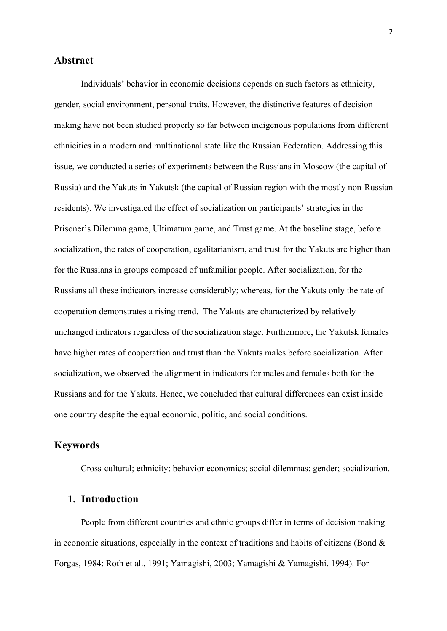## **Abstract**

Individuals' behavior in economic decisions depends on such factors as ethnicity, gender, social environment, personal traits. However, the distinctive features of decision making have not been studied properly so far between indigenous populations from different ethnicities in a modern and multinational state like the Russian Federation. Addressing this issue, we conducted a series of experiments between the Russians in Moscow (the capital of Russia) and the Yakuts in Yakutsk (the capital of Russian region with the mostly non-Russian residents). We investigated the effect of socialization on participants' strategies in the Prisoner's Dilemma game, Ultimatum game, and Trust game. At the baseline stage, before socialization, the rates of cooperation, egalitarianism, and trust for the Yakuts are higher than for the Russians in groups composed of unfamiliar people. After socialization, for the Russians all these indicators increase considerably; whereas, for the Yakuts only the rate of cooperation demonstrates a rising trend. The Yakuts are characterized by relatively unchanged indicators regardless of the socialization stage. Furthermore, the Yakutsk females have higher rates of cooperation and trust than the Yakuts males before socialization. After socialization, we observed the alignment in indicators for males and females both for the Russians and for the Yakuts. Hence, we concluded that cultural differences can exist inside one country despite the equal economic, politic, and social conditions.

## **Keywords**

Cross-cultural; ethnicity; behavior economics; social dilemmas; gender; socialization.

# **1. Introduction**

People from different countries and ethnic groups differ in terms of decision making in economic situations, especially in the context of traditions and habits of citizens (Bond  $\&$ Forgas, 1984; Roth et al., 1991; Yamagishi, 2003; Yamagishi & Yamagishi, 1994). For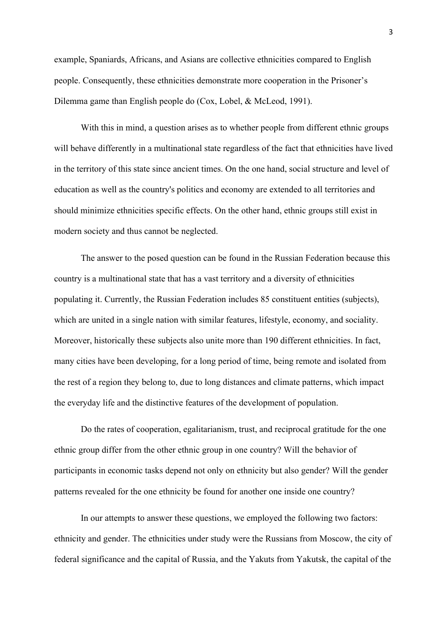example, Spaniards, Africans, and Asians are collective ethnicities compared to English people. Consequently, these ethnicities demonstrate more cooperation in the Prisoner's Dilemma game than English people do (Cox, Lobel, & McLeod, 1991).

With this in mind, a question arises as to whether people from different ethnic groups will behave differently in a multinational state regardless of the fact that ethnicities have lived in the territory of this state since ancient times. On the one hand, social structure and level of education as well as the country's politics and economy are extended to all territories and should minimize ethnicities specific effects. On the other hand, ethnic groups still exist in modern society and thus cannot be neglected.

The answer to the posed question can be found in the Russian Federation because this country is a multinational state that has a vast territory and a diversity of ethnicities populating it. Currently, the Russian Federation includes 85 constituent entities (subjects), which are united in a single nation with similar features, lifestyle, economy, and sociality. Moreover, historically these subjects also unite more than 190 different ethnicities. In fact, many cities have been developing, for a long period of time, being remote and isolated from the rest of a region they belong to, due to long distances and climate patterns, which impact the everyday life and the distinctive features of the development of population.

Do the rates of cooperation, egalitarianism, trust, and reciprocal gratitude for the one ethnic group differ from the other ethnic group in one country? Will the behavior of participants in economic tasks depend not only on ethnicity but also gender? Will the gender patterns revealed for the one ethnicity be found for another one inside one country?

In our attempts to answer these questions, we employed the following two factors: ethnicity and gender. The ethnicities under study were the Russians from Moscow, the city of federal significance and the capital of Russia, and the Yakuts from Yakutsk, the capital of the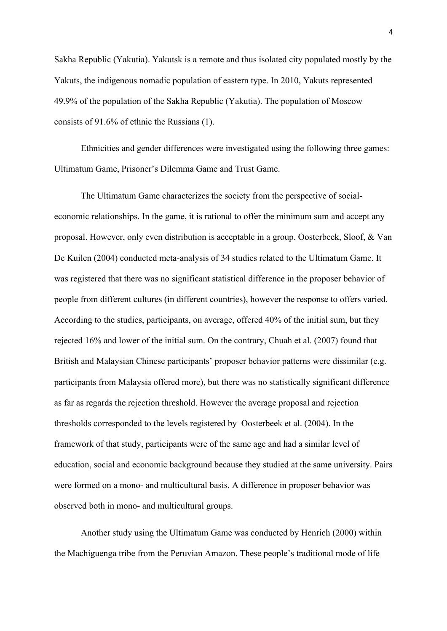Sakha Republic (Yakutia). Yakutsk is a remote and thus isolated city populated mostly by the Yakuts, the indigenous nomadic population of eastern type. In 2010, Yakuts represented 49.9% of the population of the Sakha Republic (Yakutia). The population of Moscow consists of 91.6% of ethnic the Russians (1).

Ethnicities and gender differences were investigated using the following three games: Ultimatum Game, Prisoner's Dilemma Game and Trust Game.

The Ultimatum Game characterizes the society from the perspective of socialeconomic relationships. In the game, it is rational to offer the minimum sum and accept any proposal. However, only even distribution is acceptable in a group. Oosterbeek, Sloof, & Van De Kuilen (2004) conducted meta-analysis of 34 studies related to the Ultimatum Game. It was registered that there was no significant statistical difference in the proposer behavior of people from different cultures (in different countries), however the response to offers varied. According to the studies, participants, on average, offered 40% of the initial sum, but they rejected 16% and lower of the initial sum. On the contrary, Chuah et al. (2007) found that British and Malaysian Chinese participants' proposer behavior patterns were dissimilar (e.g. participants from Malaysia offered more), but there was no statistically significant difference as far as regards the rejection threshold. However the average proposal and rejection thresholds corresponded to the levels registered by Oosterbeek et al. (2004). In the framework of that study, participants were of the same age and had a similar level of education, social and economic background because they studied at the same university. Pairs were formed on a mono- and multicultural basis. A difference in proposer behavior was observed both in mono- and multicultural groups.

Another study using the Ultimatum Game was conducted by Henrich (2000) within the Machiguenga tribe from the Peruvian Amazon. These people's traditional mode of life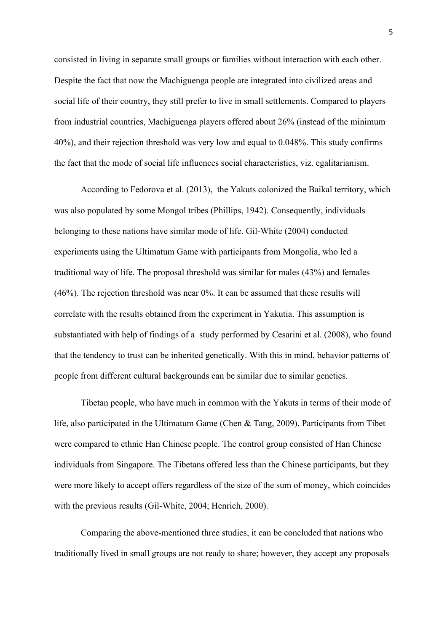consisted in living in separate small groups or families without interaction with each other. Despite the fact that now the Machiguenga people are integrated into civilized areas and social life of their country, they still prefer to live in small settlements. Compared to players from industrial countries, Machiguenga players offered about 26% (instead of the minimum 40%), and their rejection threshold was very low and equal to 0.048%. This study confirms the fact that the mode of social life influences social characteristics, viz. egalitarianism.

According to Fedorova et al. (2013), the Yakuts colonized the Baikal territory, which was also populated by some Mongol tribes (Phillips, 1942). Consequently, individuals belonging to these nations have similar mode of life. Gil-White (2004) conducted experiments using the Ultimatum Game with participants from Mongolia, who led a traditional way of life. The proposal threshold was similar for males (43%) and females (46%). The rejection threshold was near 0%. It can be assumed that these results will correlate with the results obtained from the experiment in Yakutia. This assumption is substantiated with help of findings of a study performed by Cesarini et al. (2008), who found that the tendency to trust can be inherited genetically. With this in mind, behavior patterns of people from different cultural backgrounds can be similar due to similar genetics.

Tibetan people, who have much in common with the Yakuts in terms of their mode of life, also participated in the Ultimatum Game (Chen & Tang, 2009). Participants from Tibet were compared to ethnic Han Chinese people. The control group consisted of Han Chinese individuals from Singapore. The Tibetans offered less than the Chinese participants, but they were more likely to accept offers regardless of the size of the sum of money, which coincides with the previous results (Gil-White, 2004; Henrich, 2000).

Comparing the above-mentioned three studies, it can be concluded that nations who traditionally lived in small groups are not ready to share; however, they accept any proposals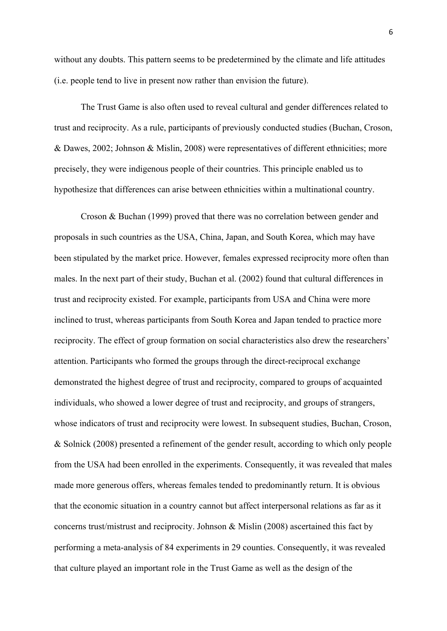without any doubts. This pattern seems to be predetermined by the climate and life attitudes (i.e. people tend to live in present now rather than envision the future).

The Trust Game is also often used to reveal cultural and gender differences related to trust and reciprocity. As a rule, participants of previously conducted studies (Buchan, Croson, & Dawes, 2002; Johnson & Mislin, 2008) were representatives of different ethnicities; more precisely, they were indigenous people of their countries. This principle enabled us to hypothesize that differences can arise between ethnicities within a multinational country.

Croson & Buchan (1999) proved that there was no correlation between gender and proposals in such countries as the USA, China, Japan, and South Korea, which may have been stipulated by the market price. However, females expressed reciprocity more often than males. In the next part of their study, Buchan et al. (2002) found that cultural differences in trust and reciprocity existed. For example, participants from USA and China were more inclined to trust, whereas participants from South Korea and Japan tended to practice more reciprocity. The effect of group formation on social characteristics also drew the researchers' attention. Participants who formed the groups through the direct-reciprocal exchange demonstrated the highest degree of trust and reciprocity, compared to groups of acquainted individuals, who showed a lower degree of trust and reciprocity, and groups of strangers, whose indicators of trust and reciprocity were lowest. In subsequent studies, Buchan, Croson, & Solnick (2008) presented a refinement of the gender result, according to which only people from the USA had been enrolled in the experiments. Consequently, it was revealed that males made more generous offers, whereas females tended to predominantly return. It is obvious that the economic situation in a country cannot but affect interpersonal relations as far as it concerns trust/mistrust and reciprocity. Johnson & Mislin (2008) ascertained this fact by performing a meta-analysis of 84 experiments in 29 counties. Consequently, it was revealed that culture played an important role in the Trust Game as well as the design of the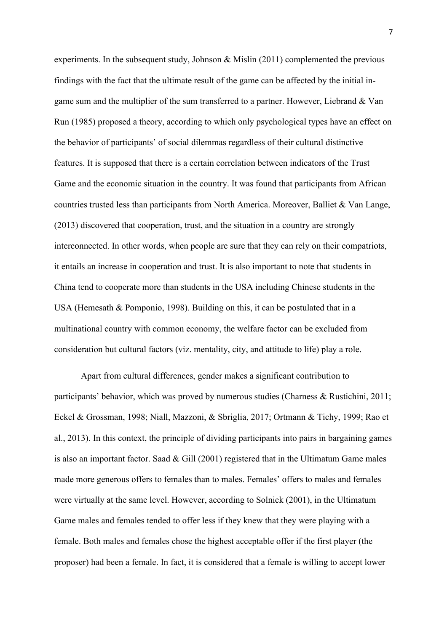experiments. In the subsequent study, Johnson & Mislin (2011) complemented the previous findings with the fact that the ultimate result of the game can be affected by the initial ingame sum and the multiplier of the sum transferred to a partner. However, Liebrand & Van Run (1985) proposed a theory, according to which only psychological types have an effect on the behavior of participants' of social dilemmas regardless of their cultural distinctive features. It is supposed that there is a certain correlation between indicators of the Trust Game and the economic situation in the country. It was found that participants from African countries trusted less than participants from North America. Moreover, Balliet & Van Lange, (2013) discovered that cooperation, trust, and the situation in a country are strongly interconnected. In other words, when people are sure that they can rely on their compatriots, it entails an increase in cooperation and trust. It is also important to note that students in China tend to cooperate more than students in the USA including Chinese students in the USA (Hemesath & Pomponio, 1998). Building on this, it can be postulated that in a multinational country with common economy, the welfare factor can be excluded from consideration but cultural factors (viz. mentality, city, and attitude to life) play a role.

Apart from cultural differences, gender makes a significant contribution to participants' behavior, which was proved by numerous studies (Charness & Rustichini, 2011; Eckel & Grossman, 1998; Niall, Mazzoni, & Sbriglia, 2017; Ortmann & Tichy, 1999; Rao et al., 2013). In this context, the principle of dividing participants into pairs in bargaining games is also an important factor. Saad  $\&$  Gill (2001) registered that in the Ultimatum Game males made more generous offers to females than to males. Females' offers to males and females were virtually at the same level. However, according to Solnick (2001), in the Ultimatum Game males and females tended to offer less if they knew that they were playing with a female. Both males and females chose the highest acceptable offer if the first player (the proposer) had been a female. In fact, it is considered that a female is willing to accept lower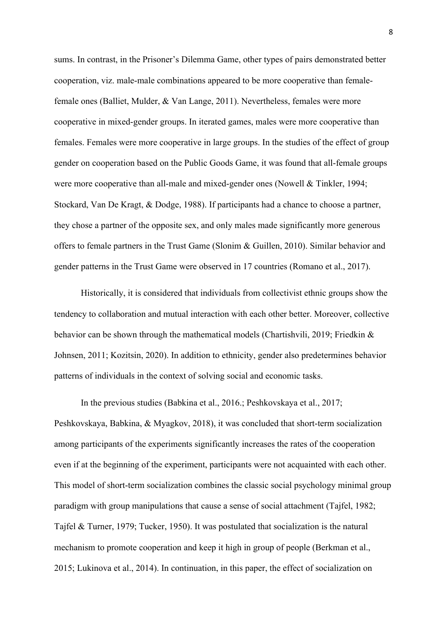sums. In contrast, in the Prisoner's Dilemma Game, other types of pairs demonstrated better cooperation, viz. male-male combinations appeared to be more cooperative than femalefemale ones (Balliet, Mulder, & Van Lange, 2011). Nevertheless, females were more cooperative in mixed-gender groups. In iterated games, males were more cooperative than females. Females were more cooperative in large groups. In the studies of the effect of group gender on cooperation based on the Public Goods Game, it was found that all-female groups were more cooperative than all-male and mixed-gender ones (Nowell & Tinkler, 1994; Stockard, Van De Kragt, & Dodge, 1988). If participants had a chance to choose a partner, they chose a partner of the opposite sex, and only males made significantly more generous offers to female partners in the Trust Game (Slonim & Guillen, 2010). Similar behavior and gender patterns in the Trust Game were observed in 17 countries (Romano et al., 2017).

Historically, it is considered that individuals from collectivist ethnic groups show the tendency to collaboration and mutual interaction with each other better. Moreover, collective behavior can be shown through the mathematical models (Chartishvili, 2019; Friedkin & Johnsen, 2011; Kozitsin, 2020). In addition to ethnicity, gender also predetermines behavior patterns of individuals in the context of solving social and economic tasks.

In the previous studies (Babkina et al., 2016.; Peshkovskaya et al., 2017; Peshkovskaya, Babkina, & Myagkov, 2018), it was concluded that short-term socialization among participants of the experiments significantly increases the rates of the cooperation even if at the beginning of the experiment, participants were not acquainted with each other. This model of short-term socialization combines the classic social psychology minimal group paradigm with group manipulations that cause a sense of social attachment (Tajfel, 1982; Tajfel & Turner, 1979; Tucker, 1950). It was postulated that socialization is the natural mechanism to promote cooperation and keep it high in group of people (Berkman et al., 2015; Lukinova et al., 2014). In continuation, in this paper, the effect of socialization on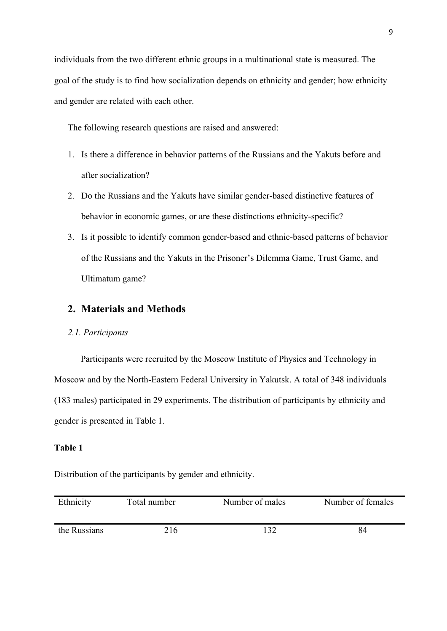individuals from the two different ethnic groups in a multinational state is measured. The goal of the study is to find how socialization depends on ethnicity and gender; how ethnicity and gender are related with each other.

The following research questions are raised and answered:

- 1. Is there a difference in behavior patterns of the Russians and the Yakuts before and after socialization?
- 2. Do the Russians and the Yakuts have similar gender-based distinctive features of behavior in economic games, or are these distinctions ethnicity-specific?
- 3. Is it possible to identify common gender-based and ethnic-based patterns of behavior of the Russians and the Yakuts in the Prisoner's Dilemma Game, Trust Game, and Ultimatum game?

# **2. Materials and Methods**

# *2.1. Participants*

Participants were recruited by the Moscow Institute of Physics and Technology in Moscow and by the North-Eastern Federal University in Yakutsk. A total of 348 individuals (183 males) participated in 29 experiments. The distribution of participants by ethnicity and gender is presented in Table 1.

## **Table 1**

Distribution of the participants by gender and ethnicity.

| Ethnicity    | Total number | Number of males | Number of females |
|--------------|--------------|-----------------|-------------------|
| the Russians | 216          | 137             | 84                |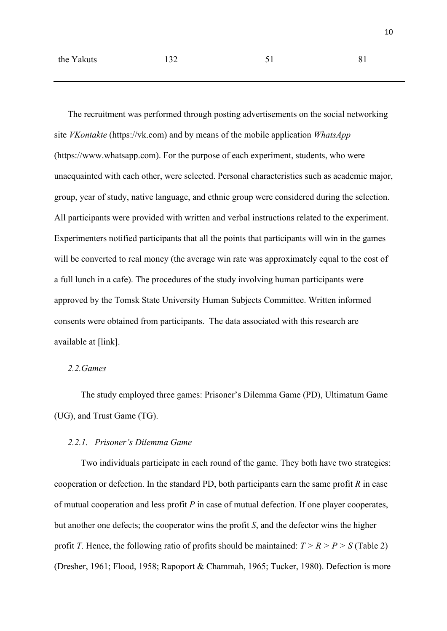The recruitment was performed through posting advertisements on the social networking site *VKontakte* (https://vk.com) and by means of the mobile application *WhatsApp* (https://www.whatsapp.com). For the purpose of each experiment, students, who were unacquainted with each other, were selected. Personal characteristics such as academic major, group, year of study, native language, and ethnic group were considered during the selection. All participants were provided with written and verbal instructions related to the experiment. Experimenters notified participants that all the points that participants will win in the games will be converted to real money (the average win rate was approximately equal to the cost of a full lunch in a cafe). The procedures of the study involving human participants were approved by the Tomsk State University Human Subjects Committee. Written informed consents were obtained from participants. The data associated with this research are available at [link].

#### *2.2.Games*

The study employed three games: Prisoner's Dilemma Game (PD), Ultimatum Game (UG), and Trust Game (TG).

#### *2.2.1. Prisoner's Dilemma Game*

Two individuals participate in each round of the game. They both have two strategies: cooperation or defection. In the standard PD, both participants earn the same profit *R* in case of mutual cooperation and less profit *P* in case of mutual defection. If one player cooperates, but another one defects; the cooperator wins the profit *S*, and the defector wins the higher profit *T*. Hence, the following ratio of profits should be maintained:  $T > R > P > S$  (Table 2) (Dresher, 1961; Flood, 1958; Rapoport & Chammah, 1965; Tucker, 1980). Defection is more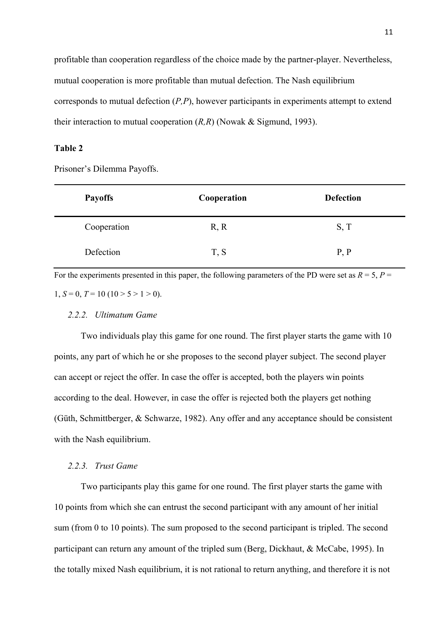profitable than cooperation regardless of the choice made by the partner-player. Nevertheless, mutual cooperation is more profitable than mutual defection. The Nash equilibrium corresponds to mutual defection (*P,P*), however participants in experiments attempt to extend their interaction to mutual cooperation (*R,R*) (Nowak & Sigmund, 1993).

#### **Table 2**

Prisoner's Dilemma Payoffs.

| <b>Payoffs</b> | Cooperation | <b>Defection</b> |
|----------------|-------------|------------------|
| Cooperation    | R, R        | S, T             |
| Defection      | T, S        | P, P             |

For the experiments presented in this paper, the following parameters of the PD were set as  $R = 5$ ,  $P =$ 1,  $S = 0$ ,  $T = 10$  (10 > 5 > 1 > 0).

#### *2.2.2. Ultimatum Game*

Two individuals play this game for one round. The first player starts the game with 10 points, any part of which he or she proposes to the second player subject. The second player can accept or reject the offer. In case the offer is accepted, both the players win points according to the deal. However, in case the offer is rejected both the players get nothing (Güth, Schmittberger, & Schwarze, 1982). Any offer and any acceptance should be consistent with the Nash equilibrium.

#### *2.2.3. Trust Game*

Two participants play this game for one round. The first player starts the game with 10 points from which she can entrust the second participant with any amount of her initial sum (from 0 to 10 points). The sum proposed to the second participant is tripled. The second participant can return any amount of the tripled sum (Berg, Dickhaut, & McCabe, 1995). In the totally mixed Nash equilibrium, it is not rational to return anything, and therefore it is not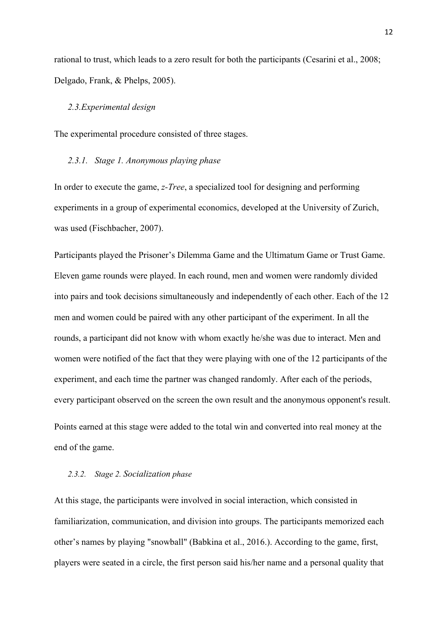rational to trust, which leads to a zero result for both the participants (Cesarini et al., 2008; Delgado, Frank, & Phelps, 2005).

#### *2.3.Experimental design*

The experimental procedure consisted of three stages.

#### *2.3.1. Stage 1. Anonymous playing phase*

In order to execute the game, *z-Tree*, a specialized tool for designing and performing experiments in a group of experimental economics, developed at the University of Zurich, was used (Fischbacher, 2007).

Participants played the Prisoner's Dilemma Game and the Ultimatum Game or Trust Game. Eleven game rounds were played. In each round, men and women were randomly divided into pairs and took decisions simultaneously and independently of each other. Each of the 12 men and women could be paired with any other participant of the experiment. In all the rounds, a participant did not know with whom exactly he/she was due to interact. Men and women were notified of the fact that they were playing with one of the 12 participants of the experiment, and each time the partner was changed randomly. After each of the periods, every participant observed on the screen the own result and the anonymous opponent's result. Points earned at this stage were added to the total win and converted into real money at the end of the game.

#### *2.3.2. Stage 2. Socialization phase*

At this stage, the participants were involved in social interaction, which consisted in familiarization, communication, and division into groups. The participants memorized each other's names by playing "snowball" (Babkina et al., 2016.). According to the game, first, players were seated in a circle, the first person said his/her name and a personal quality that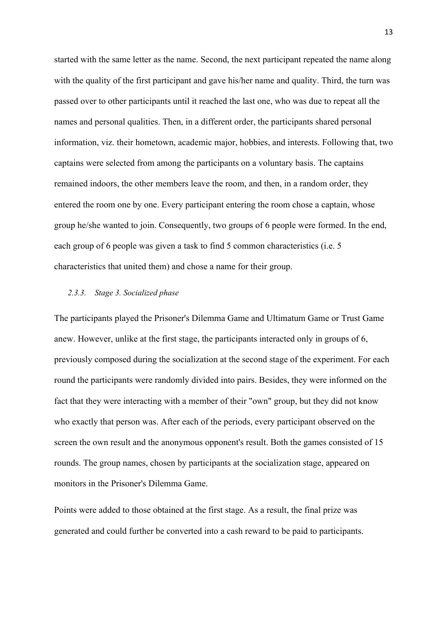started with the same letter as the name. Second, the next participant repeated the name along with the quality of the first participant and gave his/her name and quality. Third, the turn was passed over to other participants until it reached the last one, who was due to repeat all the names and personal qualities. Then, in a different order, the participants shared personal information, viz. their hometown, academic major, hobbies, and interests. Following that, two captains were selected from among the participants on a voluntary basis. The captains remained indoors, the other members leave the room, and then, in a random order, they entered the room one by one. Every participant entering the room chose a captain, whose group he/she wanted to join. Consequently, two groups of 6 people were formed. In the end, each group of 6 people was given a task to find 5 common characteristics (i.e. 5 characteristics that united them) and chose a name for their group.

#### *2.3.3. Stage 3. Socialized phase*

The participants played the Prisoner's Dilemma Game and Ultimatum Game or Trust Game anew. However, unlike at the first stage, the participants interacted only in groups of 6, previously composed during the socialization at the second stage of the experiment. For each round the participants were randomly divided into pairs. Besides, they were informed on the fact that they were interacting with a member of their "own" group, but they did not know who exactly that person was. After each of the periods, every participant observed on the screen the own result and the anonymous opponent's result. Both the games consisted of 15 rounds. The group names, chosen by participants at the socialization stage, appeared on monitors in the Prisoner's Dilemma Game.

Points were added to those obtained at the first stage. As a result, the final prize was generated and could further be converted into a cash reward to be paid to participants. 13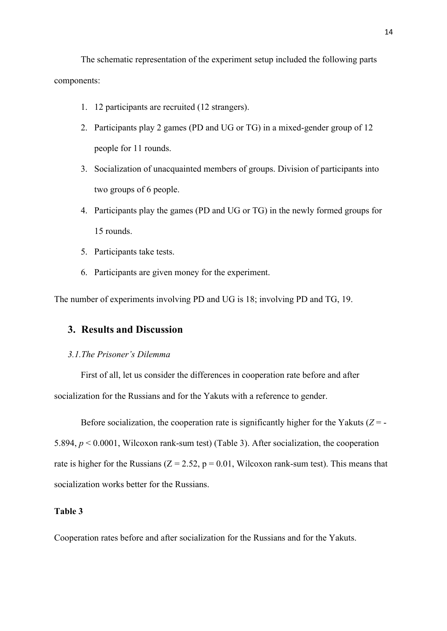The schematic representation of the experiment setup included the following parts components:

- 1. 12 participants are recruited (12 strangers).
- 2. Participants play 2 games (PD and UG or TG) in a mixed-gender group of 12 people for 11 rounds.
- 3. Socialization of unacquainted members of groups. Division of participants into two groups of 6 people.
- 4. Participants play the games (PD and UG or TG) in the newly formed groups for 15 rounds.
- 5. Participants take tests.
- 6. Participants are given money for the experiment.

The number of experiments involving PD and UG is 18; involving PD and TG, 19.

# **3. Results and Discussion**

#### *3.1.The Prisoner's Dilemma*

First of all, let us consider the differences in cooperation rate before and after socialization for the Russians and for the Yakuts with a reference to gender.

Before socialization, the cooperation rate is significantly higher for the Yakuts  $(Z = -1)$ 5.894, *p* < 0.0001, Wilcoxon rank-sum test) (Table 3). After socialization, the cooperation rate is higher for the Russians ( $Z = 2.52$ ,  $p = 0.01$ , Wilcoxon rank-sum test). This means that socialization works better for the Russians.

#### **Table 3**

Cooperation rates before and after socialization for the Russians and for the Yakuts.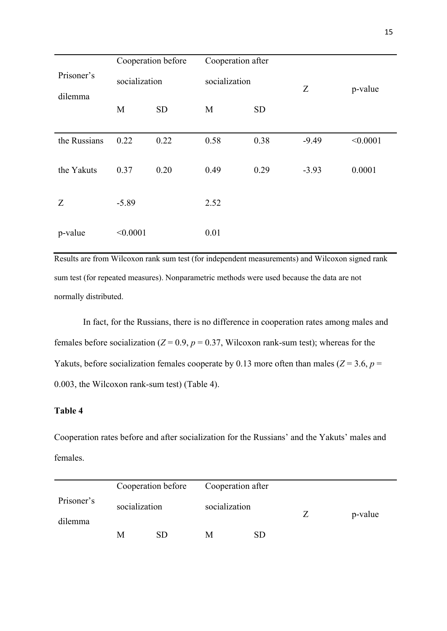|                       | Cooperation before |           | Cooperation after |           |         |          |
|-----------------------|--------------------|-----------|-------------------|-----------|---------|----------|
| Prisoner's<br>dilemma | socialization      |           | socialization     |           | Z       | p-value  |
|                       | M                  | <b>SD</b> | M                 | <b>SD</b> |         |          |
| the Russians          | 0.22               | 0.22      | 0.58              | 0.38      | $-9.49$ | < 0.0001 |
| the Yakuts            | 0.37               | 0.20      | 0.49              | 0.29      | $-3.93$ | 0.0001   |
| Z                     | $-5.89$            |           | 2.52              |           |         |          |
| p-value               | < 0.0001           |           | 0.01              |           |         |          |

Results are from Wilcoxon rank sum test (for independent measurements) and Wilcoxon signed rank sum test (for repeated measures). Nonparametric methods were used because the data are not normally distributed.

In fact, for the Russians, there is no difference in cooperation rates among males and females before socialization ( $Z = 0.9$ ,  $p = 0.37$ , Wilcoxon rank-sum test); whereas for the Yakuts, before socialization females cooperate by 0.13 more often than males ( $Z = 3.6$ ,  $p =$ 0.003, the Wilcoxon rank-sum test) (Table 4).

# **Table 4**

Cooperation rates before and after socialization for the Russians' and the Yakuts' males and females.

|                       |               | Cooperation before | Cooperation after |     |         |
|-----------------------|---------------|--------------------|-------------------|-----|---------|
| Prisoner's<br>dilemma | socialization |                    | socialization     |     | p-value |
|                       | М             | SD.                | M                 | SD. |         |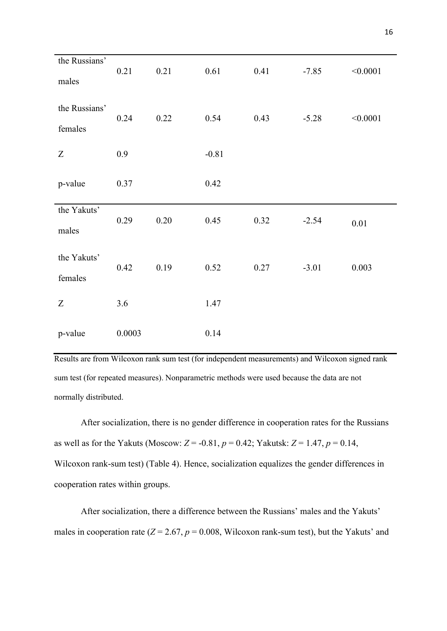| the Russians'<br>males   | 0.21   | 0.21 | 0.61    | 0.41 | $-7.85$ | < 0.0001 |
|--------------------------|--------|------|---------|------|---------|----------|
| the Russians'<br>females | 0.24   | 0.22 | 0.54    | 0.43 | $-5.28$ | < 0.0001 |
| $\boldsymbol{Z}$         | 0.9    |      | $-0.81$ |      |         |          |
| p-value                  | 0.37   |      | 0.42    |      |         |          |
| the Yakuts'<br>males     | 0.29   | 0.20 | 0.45    | 0.32 | $-2.54$ | 0.01     |
| the Yakuts'<br>females   | 0.42   | 0.19 | 0.52    | 0.27 | $-3.01$ | 0.003    |
| Z                        | 3.6    |      | 1.47    |      |         |          |
| p-value                  | 0.0003 |      | 0.14    |      |         |          |

Results are from Wilcoxon rank sum test (for independent measurements) and Wilcoxon signed rank sum test (for repeated measures). Nonparametric methods were used because the data are not normally distributed.

After socialization, there is no gender difference in cooperation rates for the Russians as well as for the Yakuts (Moscow:  $Z = -0.81$ ,  $p = 0.42$ ; Yakutsk:  $Z = 1.47$ ,  $p = 0.14$ , Wilcoxon rank-sum test) (Table 4). Hence, socialization equalizes the gender differences in cooperation rates within groups.

After socialization, there a difference between the Russians' males and the Yakuts' males in cooperation rate  $(Z = 2.67, p = 0.008$ , Wilcoxon rank-sum test), but the Yakuts' and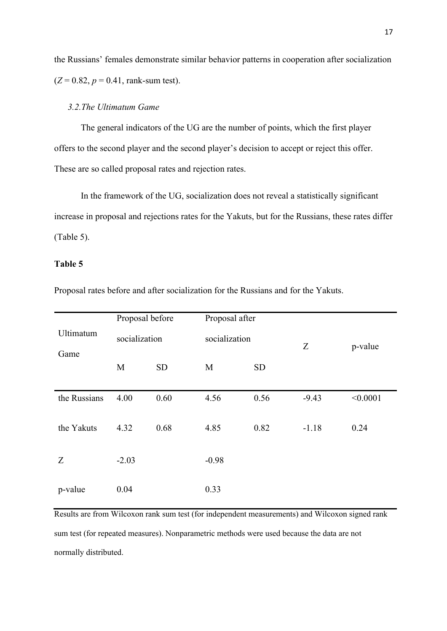the Russians' females demonstrate similar behavior patterns in cooperation after socialization  $(Z = 0.82, p = 0.41, \text{rank-sum test}).$ 

#### *3.2.The Ultimatum Game*

The general indicators of the UG are the number of points, which the first player offers to the second player and the second player's decision to accept or reject this offer. These are so called proposal rates and rejection rates.

In the framework of the UG, socialization does not reveal a statistically significant increase in proposal and rejections rates for the Yakuts, but for the Russians, these rates differ (Table 5).

## **Table 5**

|              | Proposal before |           | Proposal after |           |         |          |
|--------------|-----------------|-----------|----------------|-----------|---------|----------|
| Ultimatum    | socialization   |           | socialization  |           | Z       | p-value  |
| Game         | M               | <b>SD</b> | M              | <b>SD</b> |         |          |
| the Russians | 4.00            | 0.60      | 4.56           | 0.56      | $-9.43$ | < 0.0001 |
| the Yakuts   | 4.32            | 0.68      | 4.85           | 0.82      | $-1.18$ | 0.24     |
| Z            | $-2.03$         |           | $-0.98$        |           |         |          |
| p-value      | 0.04            |           | 0.33           |           |         |          |

Proposal rates before and after socialization for the Russians and for the Yakuts.

Results are from Wilcoxon rank sum test (for independent measurements) and Wilcoxon signed rank sum test (for repeated measures). Nonparametric methods were used because the data are not normally distributed.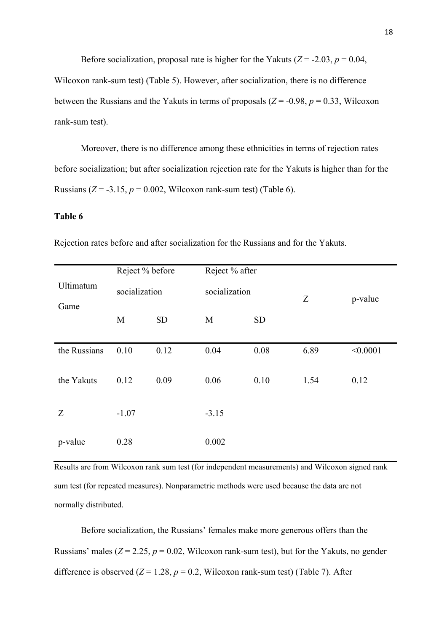Before socialization, proposal rate is higher for the Yakuts ( $Z = -2.03$ ,  $p = 0.04$ , Wilcoxon rank-sum test) (Table 5). However, after socialization, there is no difference between the Russians and the Yakuts in terms of proposals ( $Z = -0.98$ ,  $p = 0.33$ , Wilcoxon rank-sum test).

Moreover, there is no difference among these ethnicities in terms of rejection rates before socialization; but after socialization rejection rate for the Yakuts is higher than for the Russians ( $Z = -3.15$ ,  $p = 0.002$ , Wilcoxon rank-sum test) (Table 6).

#### **Table 6**

| Ultimatum    | Reject % before<br>socialization |           | Reject % after<br>socialization |           | Z    | p-value  |
|--------------|----------------------------------|-----------|---------------------------------|-----------|------|----------|
| Game         | M                                | <b>SD</b> | M                               | <b>SD</b> |      |          |
| the Russians | 0.10                             | 0.12      | 0.04                            | 0.08      | 6.89 | < 0.0001 |
| the Yakuts   | 0.12                             | 0.09      | 0.06                            | 0.10      | 1.54 | 0.12     |
| Z            | $-1.07$                          |           | $-3.15$                         |           |      |          |
| p-value      | 0.28                             |           | 0.002                           |           |      |          |

Rejection rates before and after socialization for the Russians and for the Yakuts.

Results are from Wilcoxon rank sum test (for independent measurements) and Wilcoxon signed rank sum test (for repeated measures). Nonparametric methods were used because the data are not normally distributed.

Before socialization, the Russians' females make more generous offers than the Russians' males  $(Z = 2.25, p = 0.02, Wilcoxon rank-sum test)$ , but for the Yakuts, no gender difference is observed  $(Z = 1.28, p = 0.2,$  Wilcoxon rank-sum test) (Table 7). After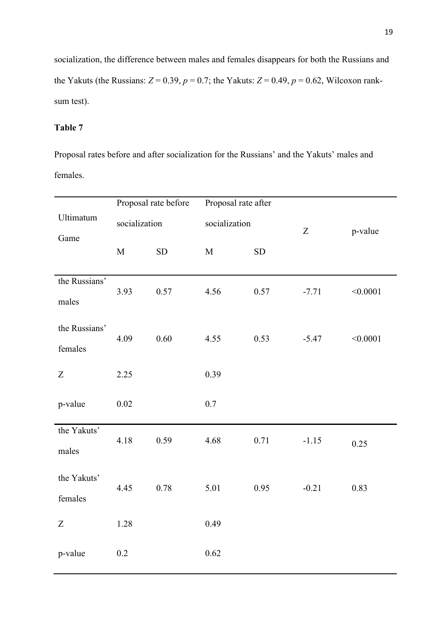socialization, the difference between males and females disappears for both the Russians and the Yakuts (the Russians:  $Z = 0.39$ ,  $p = 0.7$ ; the Yakuts:  $Z = 0.49$ ,  $p = 0.62$ , Wilcoxon ranksum test).

# **Table 7**

Proposal rates before and after socialization for the Russians' and the Yakuts' males and females.

|               |               | Proposal rate before | Proposal rate after |               |         |          |
|---------------|---------------|----------------------|---------------------|---------------|---------|----------|
| Ultimatum     | socialization |                      |                     | socialization |         |          |
| Game          |               |                      |                     |               | Z       | p-value  |
|               | $\mathbf M$   | SD                   | $\mathbf M$         | SD            |         |          |
| the Russians' |               |                      |                     |               |         |          |
| males         | 3.93          | 0.57                 | 4.56                | 0.57          | $-7.71$ | < 0.0001 |
| the Russians' |               |                      |                     |               |         |          |
| females       | 4.09          | 0.60                 | 4.55                | 0.53          | $-5.47$ | < 0.0001 |
| Z             | 2.25          |                      | 0.39                |               |         |          |
|               |               |                      |                     |               |         |          |
| p-value       | 0.02          |                      | 0.7                 |               |         |          |
| the Yakuts'   |               |                      |                     |               |         |          |
| males         | 4.18          | 0.59                 | 4.68                | 0.71          | $-1.15$ | 0.25     |
| the Yakuts'   |               |                      |                     |               |         |          |
| females       | 4.45          | 0.78                 | 5.01                | 0.95          | $-0.21$ | 0.83     |
| Z             | 1.28          |                      | 0.49                |               |         |          |
|               |               |                      |                     |               |         |          |
| p-value       | 0.2           |                      | 0.62                |               |         |          |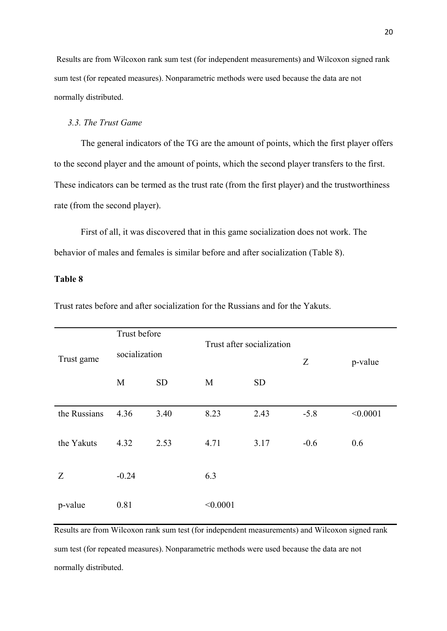Results are from Wilcoxon rank sum test (for independent measurements) and Wilcoxon signed rank sum test (for repeated measures). Nonparametric methods were used because the data are not normally distributed.

### *3.3. The Trust Game*

The general indicators of the TG are the amount of points, which the first player offers to the second player and the amount of points, which the second player transfers to the first. These indicators can be termed as the trust rate (from the first player) and the trustworthiness rate (from the second player).

First of all, it was discovered that in this game socialization does not work. The behavior of males and females is similar before and after socialization (Table 8).

### **Table 8**

| Trust game   | Trust before<br>Trust after socialization<br>socialization |           |          |           | Z      | p-value  |
|--------------|------------------------------------------------------------|-----------|----------|-----------|--------|----------|
|              | M                                                          | <b>SD</b> | M        | <b>SD</b> |        |          |
| the Russians | 4.36                                                       | 3.40      | 8.23     | 2.43      | $-5.8$ | < 0.0001 |
| the Yakuts   | 4.32                                                       | 2.53      | 4.71     | 3.17      | $-0.6$ | 0.6      |
| Z            | $-0.24$                                                    |           | 6.3      |           |        |          |
|              |                                                            |           |          |           |        |          |
| p-value      | 0.81                                                       |           | < 0.0001 |           |        |          |
|              |                                                            |           |          |           |        |          |

Trust rates before and after socialization for the Russians and for the Yakuts.

Results are from Wilcoxon rank sum test (for independent measurements) and Wilcoxon signed rank sum test (for repeated measures). Nonparametric methods were used because the data are not normally distributed.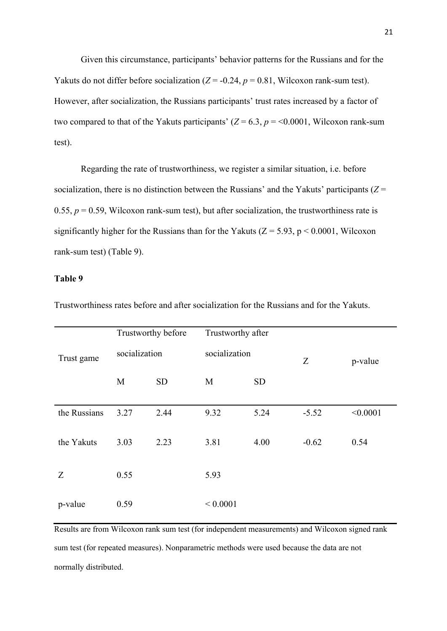Given this circumstance, participants' behavior patterns for the Russians and for the Yakuts do not differ before socialization  $(Z = -0.24, p = 0.81,$  Wilcoxon rank-sum test). However, after socialization, the Russians participants' trust rates increased by a factor of two compared to that of the Yakuts participants'  $(Z = 6.3, p = 0.0001,$  Wilcoxon rank-sum test).

Regarding the rate of trustworthiness, we register a similar situation, i.e. before socialization, there is no distinction between the Russians' and the Yakuts' participants (*Z* = 0.55,  $p = 0.59$ , Wilcoxon rank-sum test), but after socialization, the trustworthiness rate is significantly higher for the Russians than for the Yakuts ( $Z = 5.93$ ,  $p < 0.0001$ , Wilcoxon rank-sum test) (Table 9).

## **Table 9**

|              | Trustworthy before |           | Trustworthy after |           |         |          |  |         |
|--------------|--------------------|-----------|-------------------|-----------|---------|----------|--|---------|
| Trust game   | socialization      |           | socialization     |           | Z       |          |  | p-value |
|              | M                  | <b>SD</b> | M                 | <b>SD</b> |         |          |  |         |
| the Russians | 3.27               | 2.44      | 9.32              | 5.24      | $-5.52$ | < 0.0001 |  |         |
| the Yakuts   | 3.03               | 2.23      | 3.81              | 4.00      | $-0.62$ | 0.54     |  |         |
| Z            | 0.55               |           | 5.93              |           |         |          |  |         |
| p-value      | 0.59               |           | ${}< 0.0001$      |           |         |          |  |         |

Trustworthiness rates before and after socialization for the Russians and for the Yakuts.

Results are from Wilcoxon rank sum test (for independent measurements) and Wilcoxon signed rank sum test (for repeated measures). Nonparametric methods were used because the data are not normally distributed.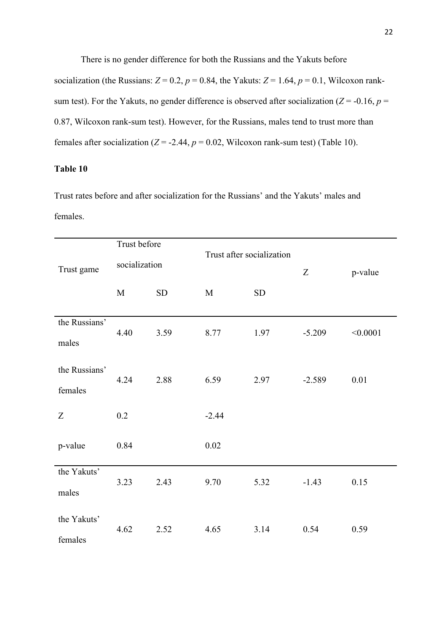There is no gender difference for both the Russians and the Yakuts before socialization (the Russians:  $Z = 0.2$ ,  $p = 0.84$ , the Yakuts:  $Z = 1.64$ ,  $p = 0.1$ , Wilcoxon ranksum test). For the Yakuts, no gender difference is observed after socialization ( $Z = -0.16$ ,  $p =$ 0.87, Wilcoxon rank-sum test). However, for the Russians, males tend to trust more than females after socialization ( $Z = -2.44$ ,  $p = 0.02$ , Wilcoxon rank-sum test) (Table 10).

# **Table 10**

Trust rates before and after socialization for the Russians' and the Yakuts' males and females.

|               | Trust before  |            |             | Trust after socialization |          |          |
|---------------|---------------|------------|-------------|---------------------------|----------|----------|
| Trust game    | socialization |            |             |                           | Z        | p-value  |
|               | $\mathbf M$   | ${\rm SD}$ | $\mathbf M$ | SD                        |          |          |
|               |               |            |             |                           |          |          |
| the Russians' | 4.40          | 3.59       | 8.77        | 1.97                      | $-5.209$ | < 0.0001 |
| males         |               |            |             |                           |          |          |
| the Russians' |               |            |             |                           |          |          |
|               | 4.24          | 2.88       | 6.59        | 2.97                      | $-2.589$ | 0.01     |
| females       |               |            |             |                           |          |          |
| Z             | 0.2           |            | $-2.44$     |                           |          |          |
| p-value       | 0.84          |            | 0.02        |                           |          |          |
|               |               |            |             |                           |          |          |
| the Yakuts'   | 3.23          | 2.43       | 9.70        | 5.32                      | $-1.43$  | 0.15     |
| males         |               |            |             |                           |          |          |
| the Yakuts'   |               |            |             |                           |          |          |
|               | 4.62          | 2.52       | 4.65        | 3.14                      | 0.54     | 0.59     |
| females       |               |            |             |                           |          |          |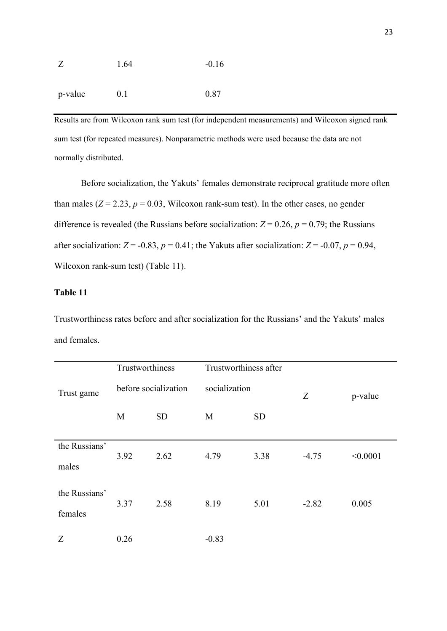| Z       | 1.64 | $-0.16$ |
|---------|------|---------|
|         |      |         |
| p-value | 0.1  | 0.87    |

Results are from Wilcoxon rank sum test (for independent measurements) and Wilcoxon signed rank sum test (for repeated measures). Nonparametric methods were used because the data are not normally distributed.

Before socialization, the Yakuts' females demonstrate reciprocal gratitude more often than males  $(Z = 2.23, p = 0.03,$  Wilcoxon rank-sum test). In the other cases, no gender difference is revealed (the Russians before socialization:  $Z = 0.26$ ,  $p = 0.79$ ; the Russians after socialization:  $Z = -0.83$ ,  $p = 0.41$ ; the Yakuts after socialization:  $Z = -0.07$ ,  $p = 0.94$ , Wilcoxon rank-sum test) (Table 11).

## **Table 11**

Trustworthiness rates before and after socialization for the Russians' and the Yakuts' males and females.

|                          | Trustworthiness      |           | Trustworthiness after |           |         |          |
|--------------------------|----------------------|-----------|-----------------------|-----------|---------|----------|
| Trust game               | before socialization |           | socialization         |           | Z       | p-value  |
|                          | M                    | <b>SD</b> | M                     | <b>SD</b> |         |          |
| the Russians'<br>males   | 3.92                 | 2.62      | 4.79                  | 3.38      | $-4.75$ | < 0.0001 |
| the Russians'<br>females | 3.37                 | 2.58      | 8.19                  | 5.01      | $-2.82$ | 0.005    |
| Z                        | 0.26                 |           | $-0.83$               |           |         |          |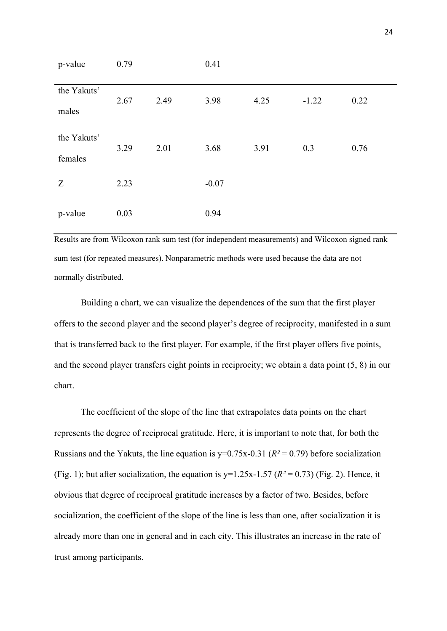| p-value                | 0.79 |      | 0.41    |      |         |      |  |
|------------------------|------|------|---------|------|---------|------|--|
| the Yakuts'<br>males   | 2.67 | 2.49 | 3.98    | 4.25 | $-1.22$ | 0.22 |  |
| the Yakuts'<br>females | 3.29 | 2.01 | 3.68    | 3.91 | 0.3     | 0.76 |  |
| Z                      | 2.23 |      | $-0.07$ |      |         |      |  |
| p-value                | 0.03 |      | 0.94    |      |         |      |  |

Results are from Wilcoxon rank sum test (for independent measurements) and Wilcoxon signed rank sum test (for repeated measures). Nonparametric methods were used because the data are not normally distributed.

Building a chart, we can visualize the dependences of the sum that the first player offers to the second player and the second player's degree of reciprocity, manifested in a sum that is transferred back to the first player. For example, if the first player offers five points, and the second player transfers eight points in reciprocity; we obtain a data point (5, 8) in our chart.

The coefficient of the slope of the line that extrapolates data points on the chart represents the degree of reciprocal gratitude. Here, it is important to note that, for both the Russians and the Yakuts, the line equation is  $y=0.75x-0.31$  ( $R^2=0.79$ ) before socialization (Fig. 1); but after socialization, the equation is  $y=1.25x-1.57$  ( $R^2=0.73$ ) (Fig. 2). Hence, it obvious that degree of reciprocal gratitude increases by a factor of two. Besides, before socialization, the coefficient of the slope of the line is less than one, after socialization it is already more than one in general and in each city. This illustrates an increase in the rate of trust among participants.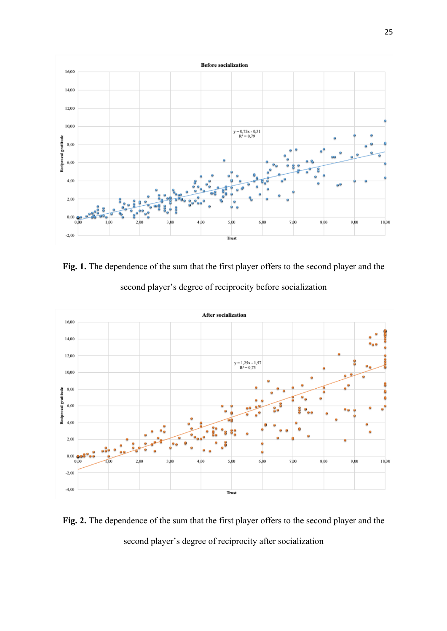

**Fig. 1.** The dependence of the sum that the first player offers to the second player and the second player's degree of reciprocity before socialization



**Fig. 2.** The dependence of the sum that the first player offers to the second player and the second player's degree of reciprocity after socialization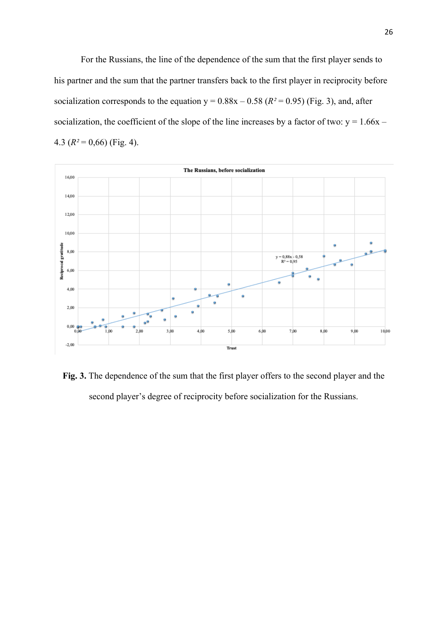For the Russians, the line of the dependence of the sum that the first player sends to his partner and the sum that the partner transfers back to the first player in reciprocity before socialization corresponds to the equation  $y = 0.88x - 0.58$  ( $R^2 = 0.95$ ) (Fig. 3), and, after socialization, the coefficient of the slope of the line increases by a factor of two:  $y = 1.66x -$ 4.3 (*R²* = 0,66) (Fig. 4).



**Fig. 3.** The dependence of the sum that the first player offers to the second player and the second player's degree of reciprocity before socialization for the Russians.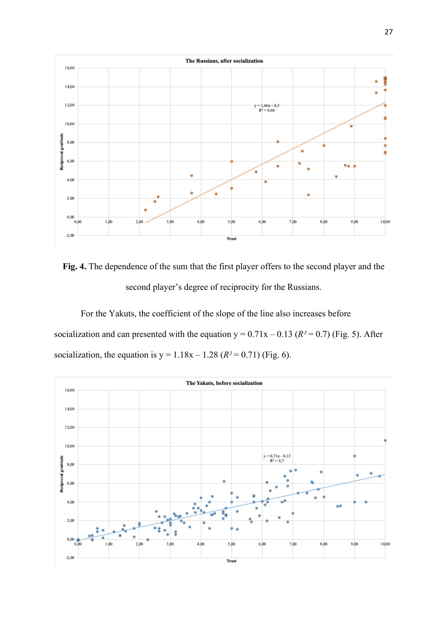

**Fig. 4.** The dependence of the sum that the first player offers to the second player and the second player's degree of reciprocity for the Russians.

For the Yakuts, the coefficient of the slope of the line also increases before socialization and can presented with the equation  $y = 0.71x - 0.13$  ( $R^2 = 0.7$ ) (Fig. 5). After socialization, the equation is  $y = 1.18x - 1.28$  ( $R^2 = 0.71$ ) (Fig. 6).

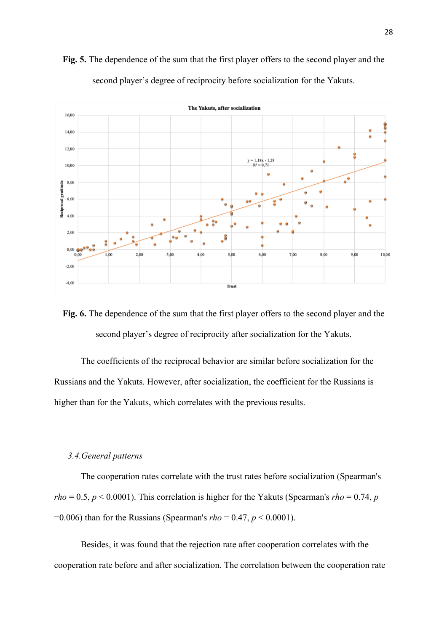

**Fig. 5.** The dependence of the sum that the first player offers to the second player and the second player's degree of reciprocity before socialization for the Yakuts.

**Fig. 6.** The dependence of the sum that the first player offers to the second player and the second player's degree of reciprocity after socialization for the Yakuts.

The coefficients of the reciprocal behavior are similar before socialization for the Russians and the Yakuts. However, after socialization, the coefficient for the Russians is higher than for the Yakuts, which correlates with the previous results.

#### *3.4.General patterns*

The cooperation rates correlate with the trust rates before socialization (Spearman's  $rho = 0.5, p < 0.0001$ ). This correlation is higher for the Yakuts (Spearman's  $rho = 0.74, p$ =0.006) than for the Russians (Spearman's *rho* = 0.47, *p* < 0.0001).

Besides, it was found that the rejection rate after cooperation correlates with the cooperation rate before and after socialization. The correlation between the cooperation rate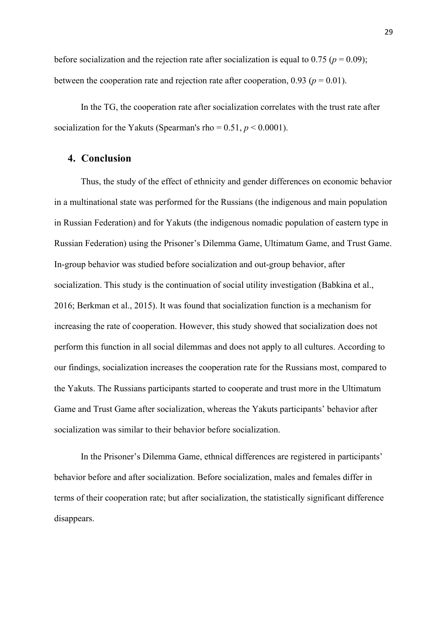before socialization and the rejection rate after socialization is equal to  $0.75$  ( $p = 0.09$ ); between the cooperation rate and rejection rate after cooperation,  $0.93$  ( $p = 0.01$ ).

In the TG, the cooperation rate after socialization correlates with the trust rate after socialization for the Yakuts (Spearman's rho =  $0.51, p \le 0.0001$ ).

#### **4. Conclusion**

Thus, the study of the effect of ethnicity and gender differences on economic behavior in a multinational state was performed for the Russians (the indigenous and main population in Russian Federation) and for Yakuts (the indigenous nomadic population of eastern type in Russian Federation) using the Prisoner's Dilemma Game, Ultimatum Game, and Trust Game. In-group behavior was studied before socialization and out-group behavior, after socialization. This study is the continuation of social utility investigation (Babkina et al., 2016; Berkman et al., 2015). It was found that socialization function is a mechanism for increasing the rate of cooperation. However, this study showed that socialization does not perform this function in all social dilemmas and does not apply to all cultures. According to our findings, socialization increases the cooperation rate for the Russians most, compared to the Yakuts. The Russians participants started to cooperate and trust more in the Ultimatum Game and Trust Game after socialization, whereas the Yakuts participants' behavior after socialization was similar to their behavior before socialization.

In the Prisoner's Dilemma Game, ethnical differences are registered in participants' behavior before and after socialization. Before socialization, males and females differ in terms of their cooperation rate; but after socialization, the statistically significant difference disappears.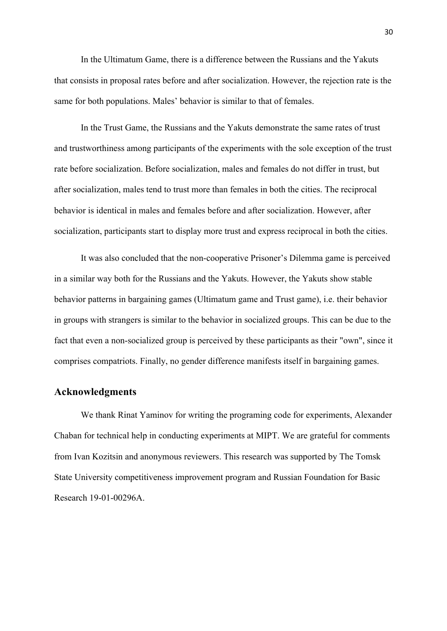In the Ultimatum Game, there is a difference between the Russians and the Yakuts that consists in proposal rates before and after socialization. However, the rejection rate is the same for both populations. Males' behavior is similar to that of females.

In the Trust Game, the Russians and the Yakuts demonstrate the same rates of trust and trustworthiness among participants of the experiments with the sole exception of the trust rate before socialization. Before socialization, males and females do not differ in trust, but after socialization, males tend to trust more than females in both the cities. The reciprocal behavior is identical in males and females before and after socialization. However, after socialization, participants start to display more trust and express reciprocal in both the cities.

It was also concluded that the non-cooperative Prisoner's Dilemma game is perceived in a similar way both for the Russians and the Yakuts. However, the Yakuts show stable behavior patterns in bargaining games (Ultimatum game and Trust game), i.e. their behavior in groups with strangers is similar to the behavior in socialized groups. This can be due to the fact that even a non-socialized group is perceived by these participants as their "own", since it comprises compatriots. Finally, no gender difference manifests itself in bargaining games.

### **Acknowledgments**

We thank Rinat Yaminov for writing the programing code for experiments, Alexander Chaban for technical help in conducting experiments at MIPT. We are grateful for comments from Ivan Kozitsin and anonymous reviewers. This research was supported by The Tomsk State University competitiveness improvement program and Russian Foundation for Basic Research 19-01-00296A.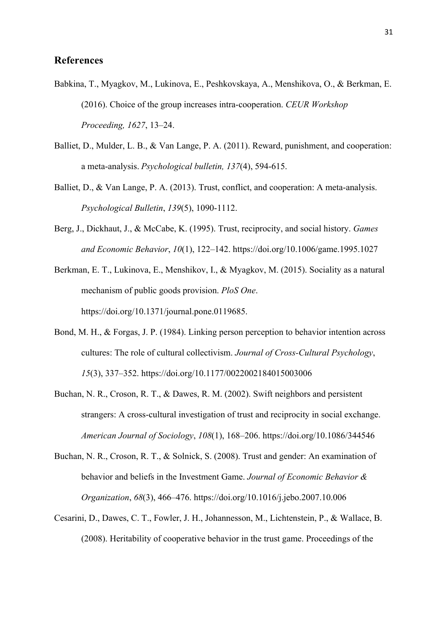## **References**

- Babkina, T., Myagkov, M., Lukinova, E., Peshkovskaya, A., Menshikova, O., & Berkman, E. (2016). Choice of the group increases intra-cooperation. *CEUR Workshop Proceeding, 1627*, 13–24.
- Balliet, D., Mulder, L. B., & Van Lange, P. A. (2011). Reward, punishment, and cooperation: a meta-analysis. *Psychological bulletin, 137*(4), 594-615.
- Balliet, D., & Van Lange, P. A. (2013). Trust, conflict, and cooperation: A meta-analysis. *Psychological Bulletin*, *139*(5), 1090-1112.
- Berg, J., Dickhaut, J., & McCabe, K. (1995). Trust, reciprocity, and social history. *Games and Economic Behavior*, *10*(1), 122–142. https://doi.org/10.1006/game.1995.1027
- Berkman, E. T., Lukinova, E., Menshikov, I., & Myagkov, M. (2015). Sociality as a natural mechanism of public goods provision. *PloS One*. https://doi.org/10.1371/journal.pone.0119685.
- Bond, M. H., & Forgas, J. P. (1984). Linking person perception to behavior intention across cultures: The role of cultural collectivism. *Journal of Cross-Cultural Psychology*, *15*(3), 337–352. https://doi.org/10.1177/0022002184015003006
- Buchan, N. R., Croson, R. T., & Dawes, R. M. (2002). Swift neighbors and persistent strangers: A cross-cultural investigation of trust and reciprocity in social exchange. *American Journal of Sociology*, *108*(1), 168–206. https://doi.org/10.1086/344546
- Buchan, N. R., Croson, R. T., & Solnick, S. (2008). Trust and gender: An examination of behavior and beliefs in the Investment Game. *Journal of Economic Behavior & Organization*, *68*(3), 466–476. https://doi.org/10.1016/j.jebo.2007.10.006
- Cesarini, D., Dawes, C. T., Fowler, J. H., Johannesson, M., Lichtenstein, P., & Wallace, B. (2008). Heritability of cooperative behavior in the trust game. Proceedings of the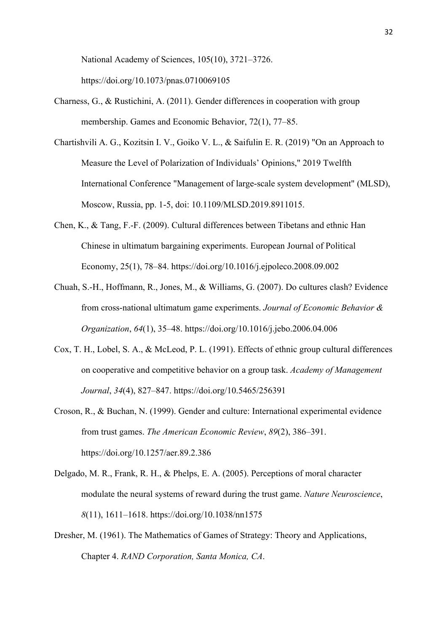National Academy of Sciences, 105(10), 3721–3726. https://doi.org/10.1073/pnas.0710069105

- Charness, G., & Rustichini, A. (2011). Gender differences in cooperation with group membership. Games and Economic Behavior, 72(1), 77–85.
- Chartishvili A. G., Kozitsin I. V., Goiko V. L., & Saifulin E. R. (2019) "On an Approach to Measure the Level of Polarization of Individuals' Opinions," 2019 Twelfth International Conference "Management of large-scale system development" (MLSD), Moscow, Russia, pp. 1-5, doi: 10.1109/MLSD.2019.8911015.
- Chen, K., & Tang, F.-F. (2009). Cultural differences between Tibetans and ethnic Han Chinese in ultimatum bargaining experiments. European Journal of Political Economy, 25(1), 78–84. https://doi.org/10.1016/j.ejpoleco.2008.09.002
- Chuah, S.-H., Hoffmann, R., Jones, M., & Williams, G. (2007). Do cultures clash? Evidence from cross-national ultimatum game experiments. *Journal of Economic Behavior & Organization*, *64*(1), 35–48. https://doi.org/10.1016/j.jebo.2006.04.006
- Cox, T. H., Lobel, S. A., & McLeod, P. L. (1991). Effects of ethnic group cultural differences on cooperative and competitive behavior on a group task. *Academy of Management Journal*, *34*(4), 827–847. https://doi.org/10.5465/256391
- Croson, R., & Buchan, N. (1999). Gender and culture: International experimental evidence from trust games. *The American Economic Review*, *89*(2), 386–391. https://doi.org/10.1257/aer.89.2.386
- Delgado, M. R., Frank, R. H., & Phelps, E. A. (2005). Perceptions of moral character modulate the neural systems of reward during the trust game. *Nature Neuroscience*, *8*(11), 1611–1618. https://doi.org/10.1038/nn1575
- Dresher, M. (1961). The Mathematics of Games of Strategy: Theory and Applications, Chapter 4. *RAND Corporation, Santa Monica, CA*.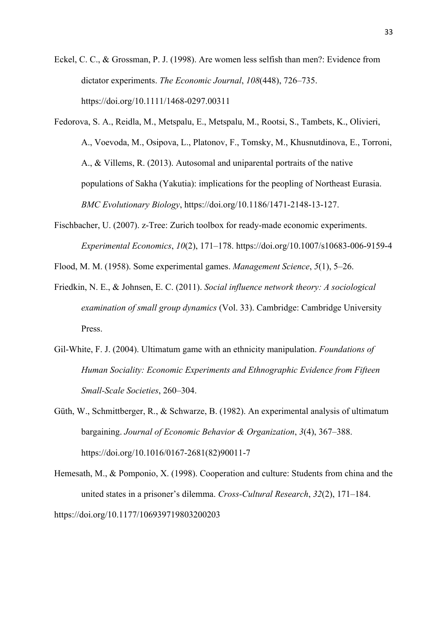- Eckel, C. C., & Grossman, P. J. (1998). Are women less selfish than men?: Evidence from dictator experiments. *The Economic Journal*, *108*(448), 726–735. https://doi.org/10.1111/1468-0297.00311
- Fedorova, S. A., Reidla, M., Metspalu, E., Metspalu, M., Rootsi, S., Tambets, K., Olivieri, A., Voevoda, M., Osipova, L., Platonov, F., Tomsky, M., Khusnutdinova, E., Torroni, A., & Villems, R. (2013). Autosomal and uniparental portraits of the native populations of Sakha (Yakutia): implications for the peopling of Northeast Eurasia. *BMC Evolutionary Biology*, https://doi.org/10.1186/1471-2148-13-127.
- Fischbacher, U. (2007). z-Tree: Zurich toolbox for ready-made economic experiments. *Experimental Economics*, *10*(2), 171–178. https://doi.org/10.1007/s10683-006-9159-4
- Flood, M. M. (1958). Some experimental games. *Management Science*, *5*(1), 5–26.
- Friedkin, N. E., & Johnsen, E. C. (2011). *Social influence network theory: A sociological examination of small group dynamics* (Vol. 33). Cambridge: Cambridge University Press.
- Gil-White, F. J. (2004). Ultimatum game with an ethnicity manipulation. *Foundations of Human Sociality: Economic Experiments and Ethnographic Evidence from Fifteen Small-Scale Societies*, 260–304.
- Güth, W., Schmittberger, R., & Schwarze, B. (1982). An experimental analysis of ultimatum bargaining. *Journal of Economic Behavior & Organization*, *3*(4), 367–388. https://doi.org/10.1016/0167-2681(82)90011-7
- Hemesath, M., & Pomponio, X. (1998). Cooperation and culture: Students from china and the united states in a prisoner's dilemma. *Cross-Cultural Research*, *32*(2), 171–184. https://doi.org/10.1177/106939719803200203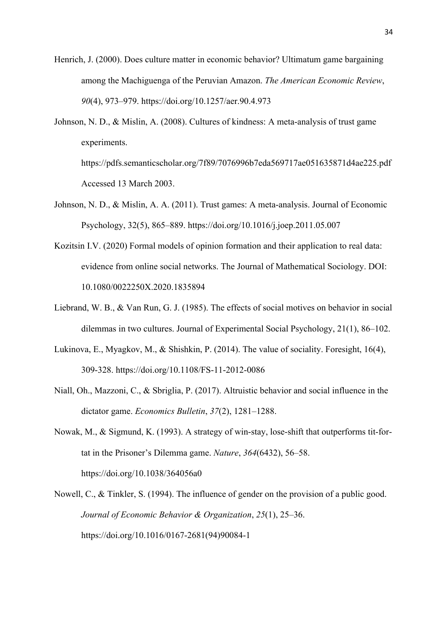- Henrich, J. (2000). Does culture matter in economic behavior? Ultimatum game bargaining among the Machiguenga of the Peruvian Amazon. *The American Economic Review*, *90*(4), 973–979. https://doi.org/10.1257/aer.90.4.973
- Johnson, N. D., & Mislin, A. (2008). Cultures of kindness: A meta-analysis of trust game experiments.

https://pdfs.semanticscholar.org/7f89/7076996b7eda569717ae051635871d4ae225.pdf Accessed 13 March 2003.

- Johnson, N. D., & Mislin, A. A. (2011). Trust games: A meta-analysis. Journal of Economic Psychology, 32(5), 865–889. https://doi.org/10.1016/j.joep.2011.05.007
- Kozitsin I.V. (2020) Formal models of opinion formation and their application to real data: evidence from online social networks. The Journal of Mathematical Sociology. DOI: 10.1080/0022250X.2020.1835894
- Liebrand, W. B., & Van Run, G. J. (1985). The effects of social motives on behavior in social dilemmas in two cultures. Journal of Experimental Social Psychology, 21(1), 86–102.
- Lukinova, E., Myagkov, M., & Shishkin, P. (2014). The value of sociality. Foresight, 16(4), 309-328. https://doi.org/10.1108/FS-11-2012-0086
- Niall, Oh., Mazzoni, C., & Sbriglia, P. (2017). Altruistic behavior and social influence in the dictator game. *Economics Bulletin*, *37*(2), 1281–1288.
- Nowak, M., & Sigmund, K. (1993). A strategy of win-stay, lose-shift that outperforms tit-fortat in the Prisoner's Dilemma game. *Nature*, *364*(6432), 56–58. https://doi.org/10.1038/364056a0
- Nowell, C., & Tinkler, S. (1994). The influence of gender on the provision of a public good. *Journal of Economic Behavior & Organization*, *25*(1), 25–36. https://doi.org/10.1016/0167-2681(94)90084-1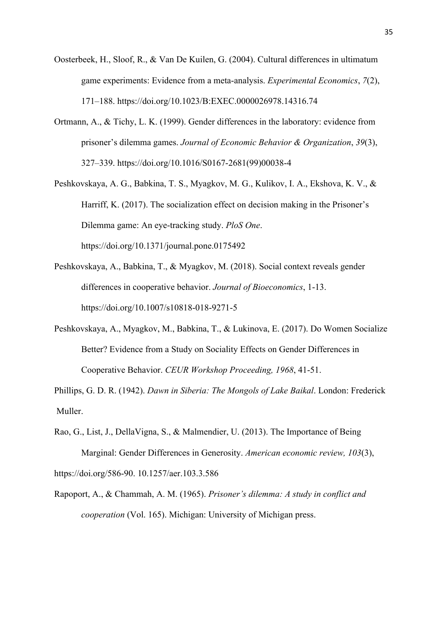- Oosterbeek, H., Sloof, R., & Van De Kuilen, G. (2004). Cultural differences in ultimatum game experiments: Evidence from a meta-analysis. *Experimental Economics*, *7*(2), 171–188. https://doi.org/10.1023/B:EXEC.0000026978.14316.74
- Ortmann, A., & Tichy, L. K. (1999). Gender differences in the laboratory: evidence from prisoner's dilemma games. *Journal of Economic Behavior & Organization*, *39*(3), 327–339. https://doi.org/10.1016/S0167-2681(99)00038-4
- Peshkovskaya, A. G., Babkina, T. S., Myagkov, M. G., Kulikov, I. A., Ekshova, K. V., & Harriff, K. (2017). The socialization effect on decision making in the Prisoner's Dilemma game: An eye-tracking study. *PloS One*. https://doi.org/10.1371/journal.pone.0175492
- Peshkovskaya, A., Babkina, T., & Myagkov, M. (2018). Social context reveals gender differences in cooperative behavior. *Journal of Bioeconomics*, 1-13. https://doi.org/10.1007/s10818-018-9271-5
- Peshkovskaya, A., Myagkov, M., Babkina, T., & Lukinova, E. (2017). Do Women Socialize Better? Evidence from a Study on Sociality Effects on Gender Differences in Cooperative Behavior. *CEUR Workshop Proceeding, 1968*, 41-51.

Phillips, G. D. R. (1942). *Dawn in Siberia: The Mongols of Lake Baikal*. London: Frederick Muller.

Rao, G., List, J., DellaVigna, S., & Malmendier, U. (2013). The Importance of Being Marginal: Gender Differences in Generosity. *American economic review, 103*(3), https://doi.org/586-90. 10.1257/aer.103.3.586

Rapoport, A., & Chammah, A. M. (1965). *Prisoner's dilemma: A study in conflict and cooperation* (Vol. 165). Michigan: University of Michigan press.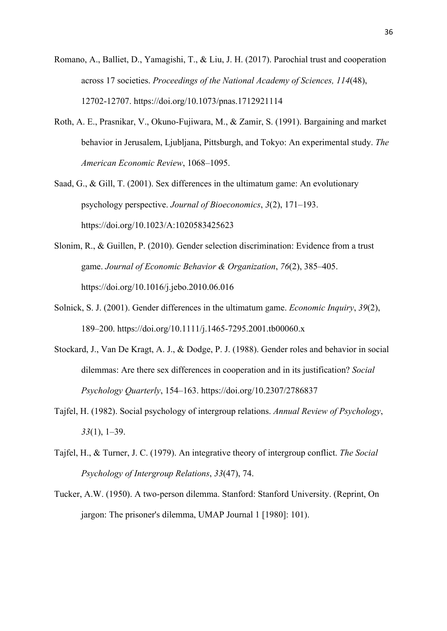- Romano, A., Balliet, D., Yamagishi, T., & Liu, J. H. (2017). Parochial trust and cooperation across 17 societies. *Proceedings of the National Academy of Sciences, 114*(48), 12702-12707. https://doi.org/10.1073/pnas.1712921114
- Roth, A. E., Prasnikar, V., Okuno-Fujiwara, M., & Zamir, S. (1991). Bargaining and market behavior in Jerusalem, Ljubljana, Pittsburgh, and Tokyo: An experimental study. *The American Economic Review*, 1068–1095.
- Saad, G., & Gill, T. (2001). Sex differences in the ultimatum game: An evolutionary psychology perspective. *Journal of Bioeconomics*, *3*(2), 171–193. https://doi.org/10.1023/A:1020583425623
- Slonim, R., & Guillen, P. (2010). Gender selection discrimination: Evidence from a trust game. *Journal of Economic Behavior & Organization*, *76*(2), 385–405. https://doi.org/10.1016/j.jebo.2010.06.016
- Solnick, S. J. (2001). Gender differences in the ultimatum game. *Economic Inquiry*, *39*(2), 189–200. https://doi.org/10.1111/j.1465-7295.2001.tb00060.x
- Stockard, J., Van De Kragt, A. J., & Dodge, P. J. (1988). Gender roles and behavior in social dilemmas: Are there sex differences in cooperation and in its justification? *Social Psychology Quarterly*, 154–163. https://doi.org/10.2307/2786837
- Tajfel, H. (1982). Social psychology of intergroup relations. *Annual Review of Psychology*, *33*(1), 1–39.
- Tajfel, H., & Turner, J. C. (1979). An integrative theory of intergroup conflict. *The Social Psychology of Intergroup Relations*, *33*(47), 74.
- Tucker, A.W. (1950). A two-person dilemma. Stanford: Stanford University. (Reprint, On jargon: The prisoner's dilemma, UMAP Journal 1 [1980]: 101).